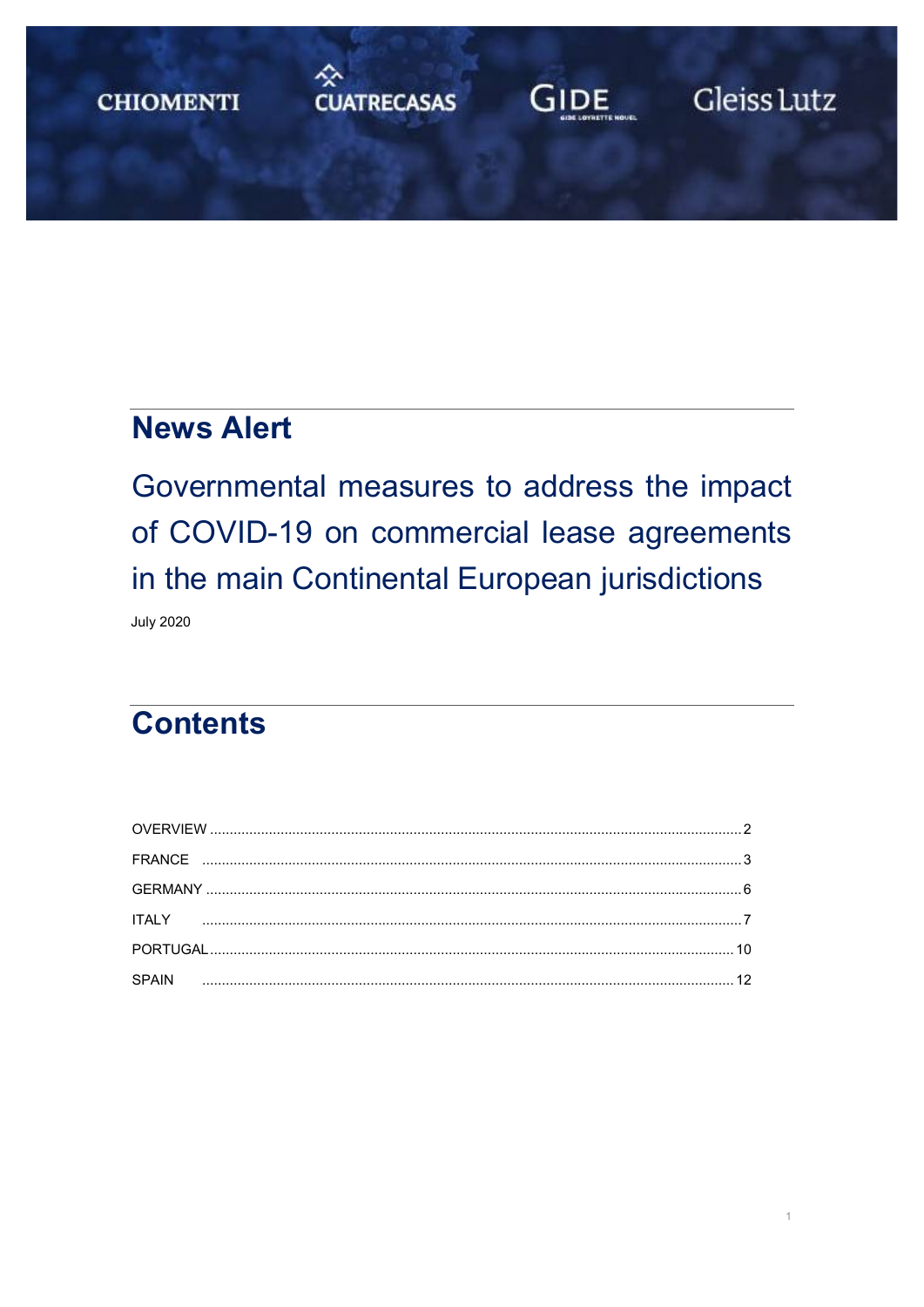# <del>◇</del><br>CUATRECASAS **CHIOMENTI**

# **GIDE**

Gleiss Lutz

# **News Alert**

Governmental measures to address the impact of COVID-19 on commercial lease agreements in the main Continental European jurisdictions **July 2020** 

# **Contents**

| SPAIN |  |
|-------|--|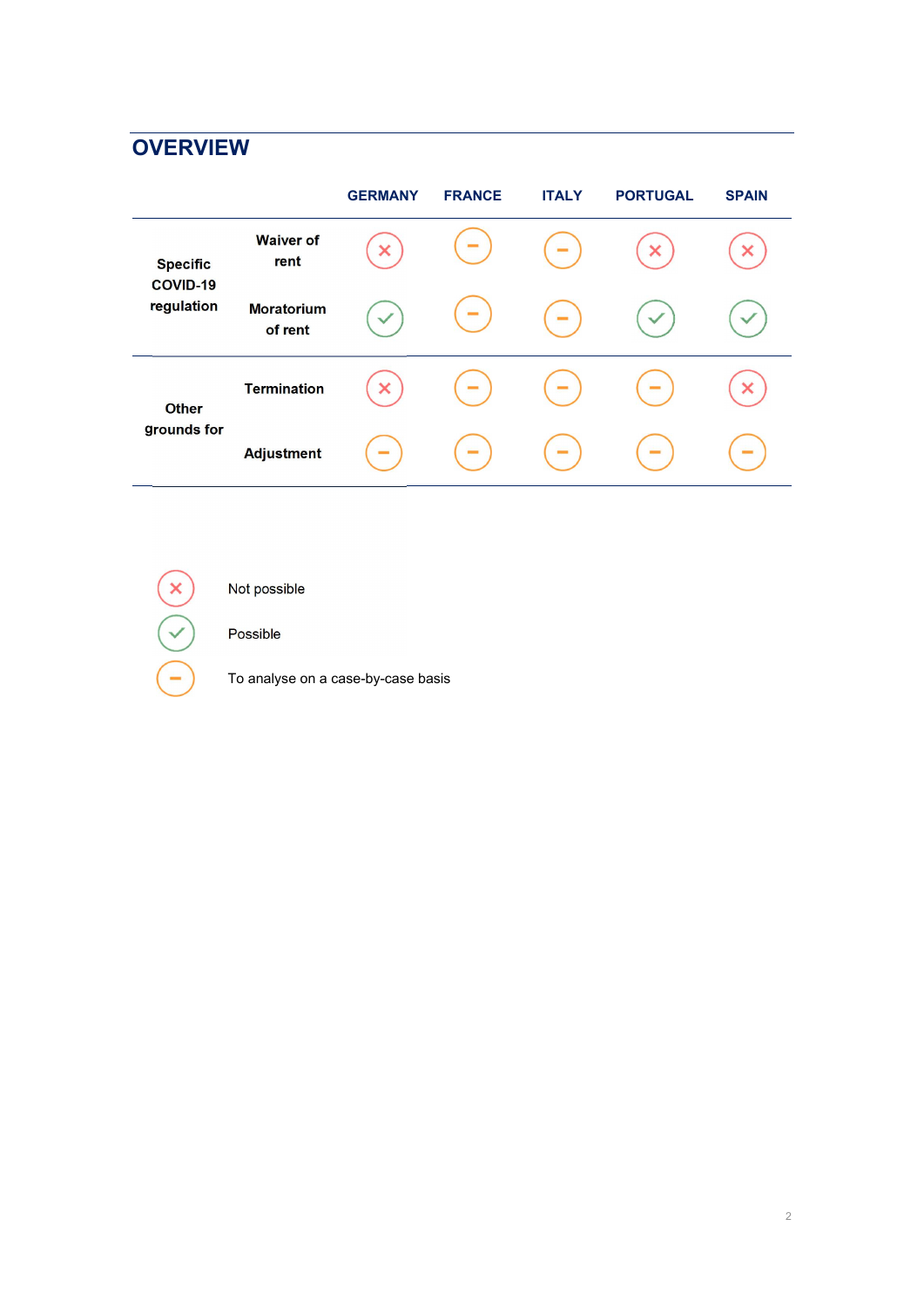# <span id="page-1-0"></span>**OVERVIEW**

|                                           |                              | <b>GERMANY</b> | <b>FRANCE</b> | <b>ITALY</b> | <b>PORTUGAL</b> | <b>SPAIN</b> |
|-------------------------------------------|------------------------------|----------------|---------------|--------------|-----------------|--------------|
| <b>Specific</b><br>COVID-19<br>regulation | <b>Waiver of</b><br>rent     | ×              | ۳             | $\sim$       | ×               |              |
|                                           | <b>Moratorium</b><br>of rent | $\checkmark$   | -             | $\sim$       |                 |              |
| <b>Other</b><br>grounds for               | <b>Termination</b>           | ×              | Ξ             | Ξ            | Ξ               |              |
|                                           | <b>Adjustment</b>            | $\equiv$       | -             | $\equiv$     | $\sim$          |              |



Not possible

Possible

To analyse on a case-by-case basis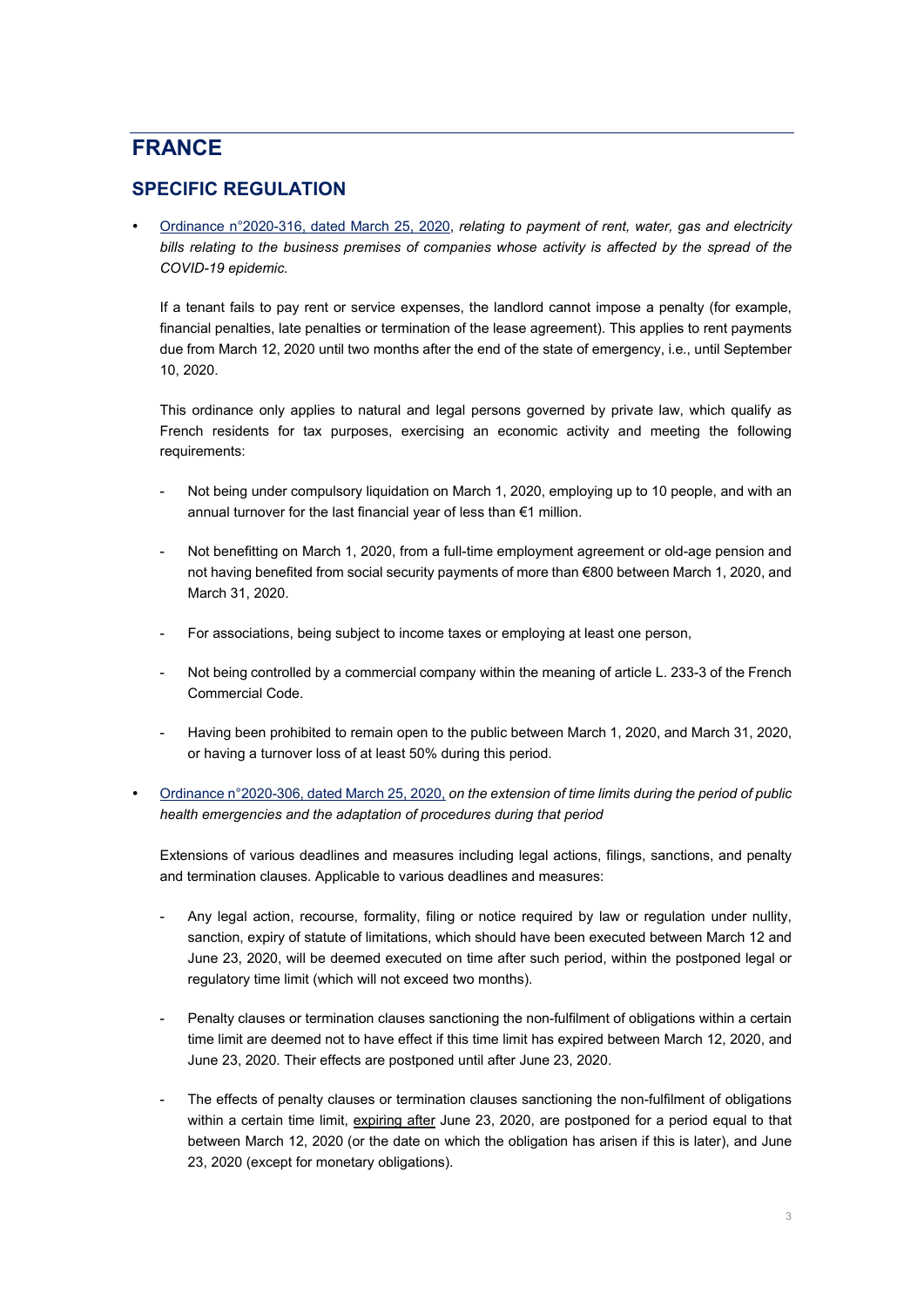## <span id="page-2-0"></span>**FRANCE**

### **SPECIFIC REGULATION**

 [Ordinance n°2020-316,](https://www.legifrance.gouv.fr/affichTexte.do?cidTexte=JORFTEXT000041755842&categorieLien=id) dated March 25, 2020, *relating to payment of rent, water, gas and electricity bills relating to the business premises of companies whose activity is affected by the spread of the COVID-19 epidemic.*

If a tenant fails to pay rent or service expenses, the landlord cannot impose a penalty (for example, financial penalties, late penalties or termination of the lease agreement). This applies to rent payments due from March 12, 2020 until two months after the end of the state of emergency, i.e*.*, until September 10, 2020.

This ordinance only applies to natural and legal persons governed by private law, which qualify as French residents for tax purposes, exercising an economic activity and meeting the following requirements:

- Not being under compulsory liquidation on March 1, 2020, employing up to 10 people, and with an annual turnover for the last financial year of less than €1 million.
- Not benefitting on March 1, 2020, from a full-time employment agreement or old-age pension and not having benefited from social security payments of more than €800 between March 1, 2020, and March 31, 2020.
- For associations, being subject to income taxes or employing at least one person,
- Not being controlled by a commercial company within the meaning of article L. 233-3 of the French Commercial Code.
- Having been prohibited to remain open to the public between March 1, 2020, and March 31, 2020, or having a turnover loss of at least 50% during this period.
- [Ordinance n°2020-306,](https://www.legifrance.gouv.fr/affichTexte.do?cidTexte=JORFTEXT000041755644) dated March 25, 2020, *on the extension of time limits during the period of public health emergencies and the adaptation of procedures during that period*

Extensions of various deadlines and measures including legal actions, filings, sanctions, and penalty and termination clauses. Applicable to various deadlines and measures:

- Any legal action, recourse, formality, filing or notice required by law or regulation under nullity, sanction, expiry of statute of limitations, which should have been executed between March 12 and June 23, 2020, will be deemed executed on time after such period, within the postponed legal or regulatory time limit (which will not exceed two months).
- Penalty clauses or termination clauses sanctioning the non-fulfilment of obligations within a certain time limit are deemed not to have effect if this time limit has expired between March 12, 2020, and June 23, 2020. Their effects are postponed until after June 23, 2020.
- The effects of penalty clauses or termination clauses sanctioning the non-fulfilment of obligations within a certain time limit, expiring after June 23, 2020, are postponed for a period equal to that between March 12, 2020 (or the date on which the obligation has arisen if this is later), and June 23, 2020 (except for monetary obligations).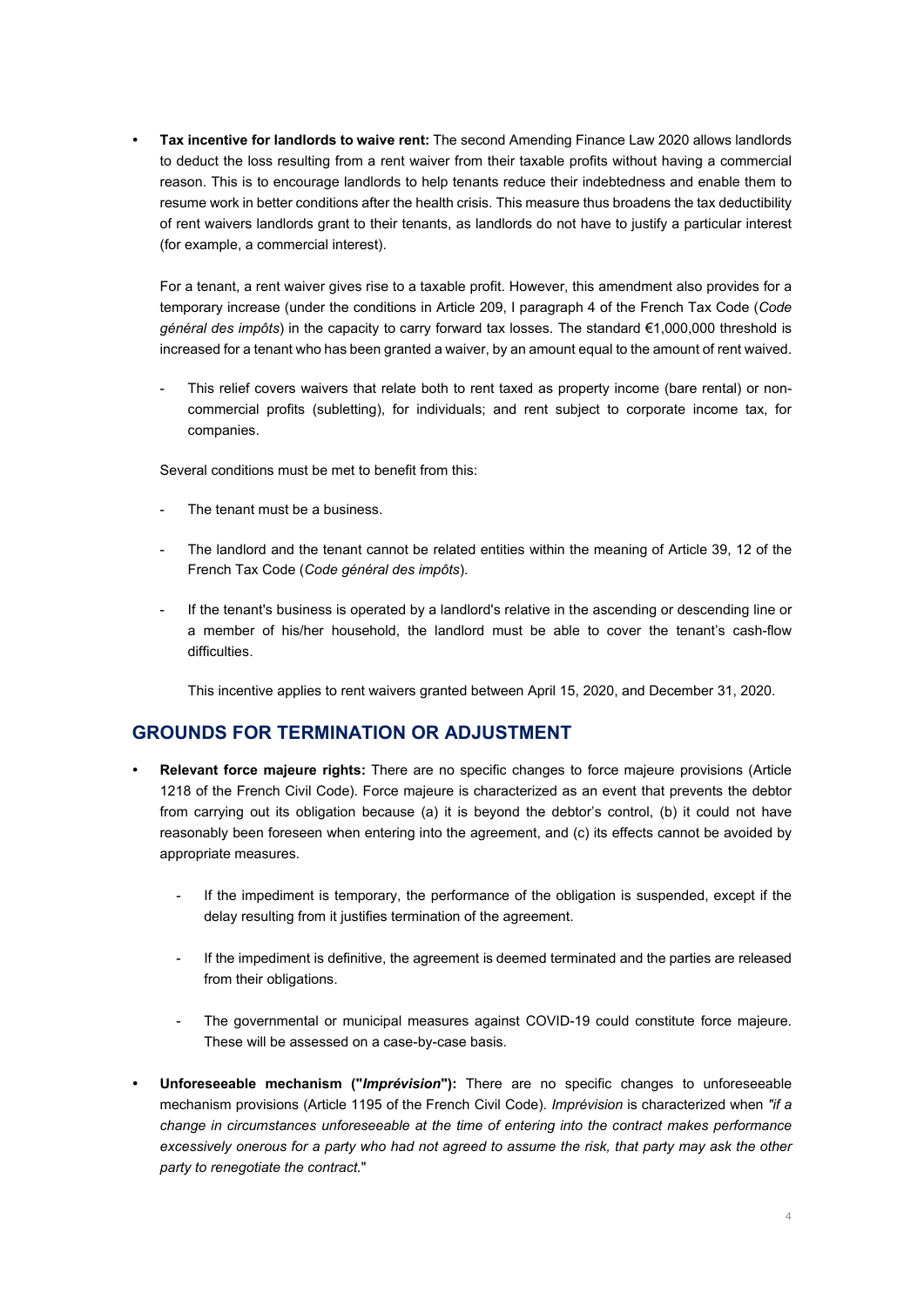**Tax incentive for landlords to waive rent:** The second Amending Finance Law 2020 allows landlords to deduct the loss resulting from a rent waiver from their taxable profits without having a commercial reason. This is to encourage landlords to help tenants reduce their indebtedness and enable them to resume work in better conditions after the health crisis. This measure thus broadens the tax deductibility of rent waivers landlords grant to their tenants, as landlords do not have to justify a particular interest (for example, a commercial interest).

For a tenant, a rent waiver gives rise to a taxable profit. However, this amendment also provides for a temporary increase (under the conditions in Article 209, I paragraph 4 of the French Tax Code (*Code général des impôts*) in the capacity to carry forward tax losses. The standard €1,000,000 threshold is increased for a tenant who has been granted a waiver, by an amount equal to the amount of rent waived.

This relief covers waivers that relate both to rent taxed as property income (bare rental) or noncommercial profits (subletting), for individuals; and rent subject to corporate income tax, for companies.

Several conditions must be met to benefit from this:

- The tenant must be a business.
- The landlord and the tenant cannot be related entities within the meaning of Article 39, 12 of the French Tax Code (*Code général des impôts*).
- If the tenant's business is operated by a landlord's relative in the ascending or descending line or a member of his/her household, the landlord must be able to cover the tenant's cash-flow difficulties.

This incentive applies to rent waivers granted between April 15, 2020, and December 31, 2020.

### **GROUNDS FOR TERMINATION OR ADJUSTMENT**

- **Relevant force majeure rights:** There are no specific changes to force majeure provisions (Article 1218 of the French Civil Code). Force majeure is characterized as an event that prevents the debtor from carrying out its obligation because (a) it is beyond the debtor's control, (b) it could not have reasonably been foreseen when entering into the agreement, and (c) its effects cannot be avoided by appropriate measures.
	- If the impediment is temporary, the performance of the obligation is suspended, except if the delay resulting from it justifies termination of the agreement.
	- If the impediment is definitive, the agreement is deemed terminated and the parties are released from their obligations.
	- The governmental or municipal measures against COVID-19 could constitute force majeure. These will be assessed on a case-by-case basis.
- **Unforeseeable mechanism ("***Imprévision***"):** There are no specific changes to unforeseeable mechanism provisions (Article 1195 of the French Civil Code). *Imprévision* is characterized when *"if a change in circumstances unforeseeable at the time of entering into the contract makes performance excessively onerous for a party who had not agreed to assume the risk, that party may ask the other party to renegotiate the contract.*"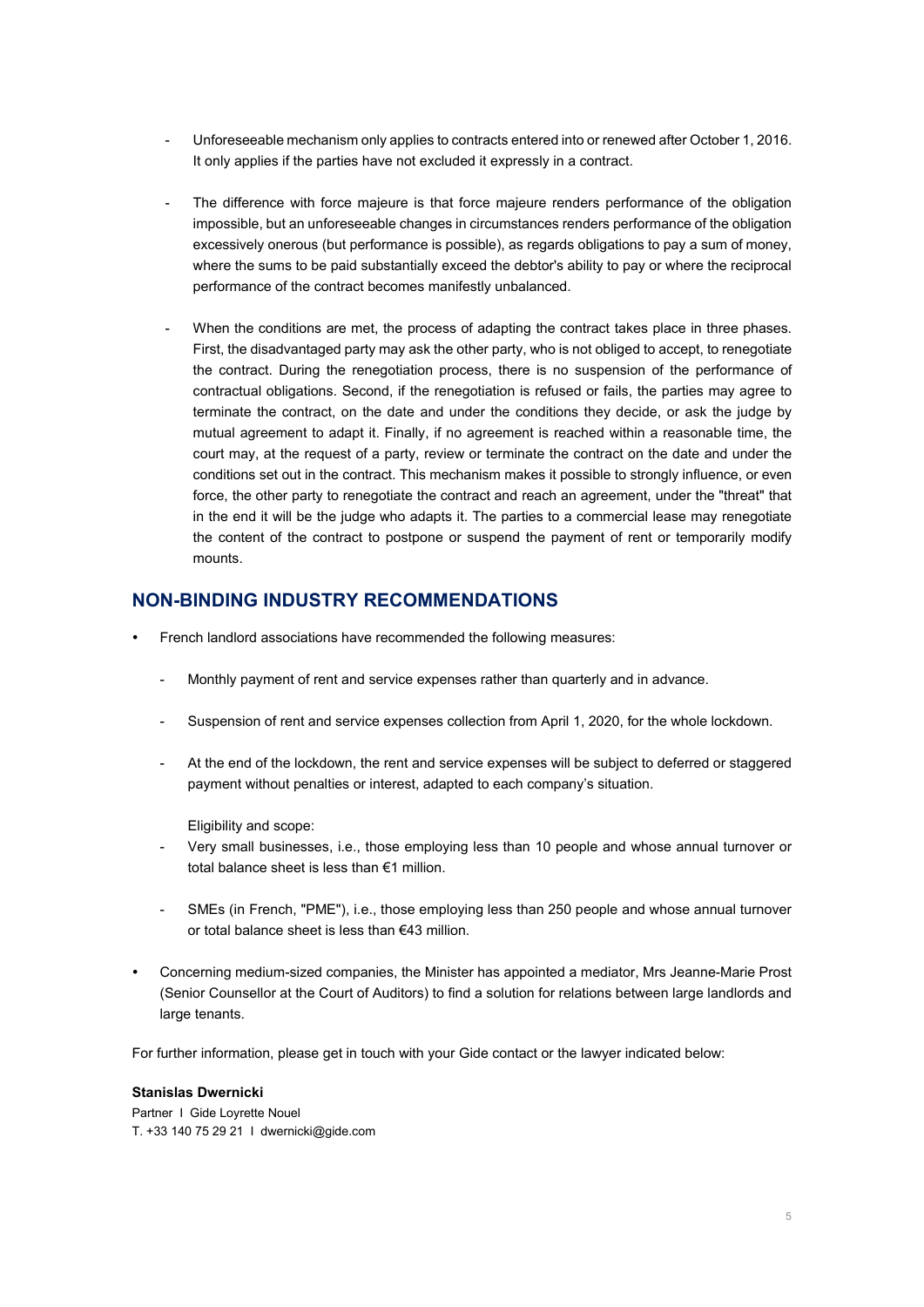- Unforeseeable mechanism only applies to contracts entered into or renewed after October 1, 2016. It only applies if the parties have not excluded it expressly in a contract.
- The difference with force majeure is that force majeure renders performance of the obligation impossible, but an unforeseeable changes in circumstances renders performance of the obligation excessively onerous (but performance is possible), as regards obligations to pay a sum of money, where the sums to be paid substantially exceed the debtor's ability to pay or where the reciprocal performance of the contract becomes manifestly unbalanced.
- When the conditions are met, the process of adapting the contract takes place in three phases. First, the disadvantaged party may ask the other party, who is not obliged to accept, to renegotiate the contract. During the renegotiation process, there is no suspension of the performance of contractual obligations. Second, if the renegotiation is refused or fails, the parties may agree to terminate the contract, on the date and under the conditions they decide, or ask the judge by mutual agreement to adapt it. Finally, if no agreement is reached within a reasonable time, the court may, at the request of a party, review or terminate the contract on the date and under the conditions set out in the contract. This mechanism makes it possible to strongly influence, or even force, the other party to renegotiate the contract and reach an agreement, under the "threat" that in the end it will be the judge who adapts it. The parties to a commercial lease may renegotiate the content of the contract to postpone or suspend the payment of rent or temporarily modify mounts.

#### **NON-BINDING INDUSTRY RECOMMENDATIONS**

- French landlord associations have recommended the following measures:
	- Monthly payment of rent and service expenses rather than quarterly and in advance.
	- Suspension of rent and service expenses collection from April 1, 2020, for the whole lockdown.
	- At the end of the lockdown, the rent and service expenses will be subject to deferred or staggered payment without penalties or interest, adapted to each company's situation.

Eligibility and scope:

- Very small businesses, i.e., those employing less than 10 people and whose annual turnover or total balance sheet is less than €1 million.
- SMEs (in French, "PME"), i.e., those employing less than 250 people and whose annual turnover or total balance sheet is less than €43 million.
- Concerning medium-sized companies, the Minister has appointed a mediator, Mrs Jeanne-Marie Prost (Senior Counsellor at the Court of Auditors) to find a solution for relations between large landlords and large tenants.

For further information, please get in touch with your Gide contact or the lawyer indicated below:

#### **Stanislas Dwernicki**

Partner I Gide Loyrette Nouel T. +33 140 75 29 21 I dwernicki@gide.com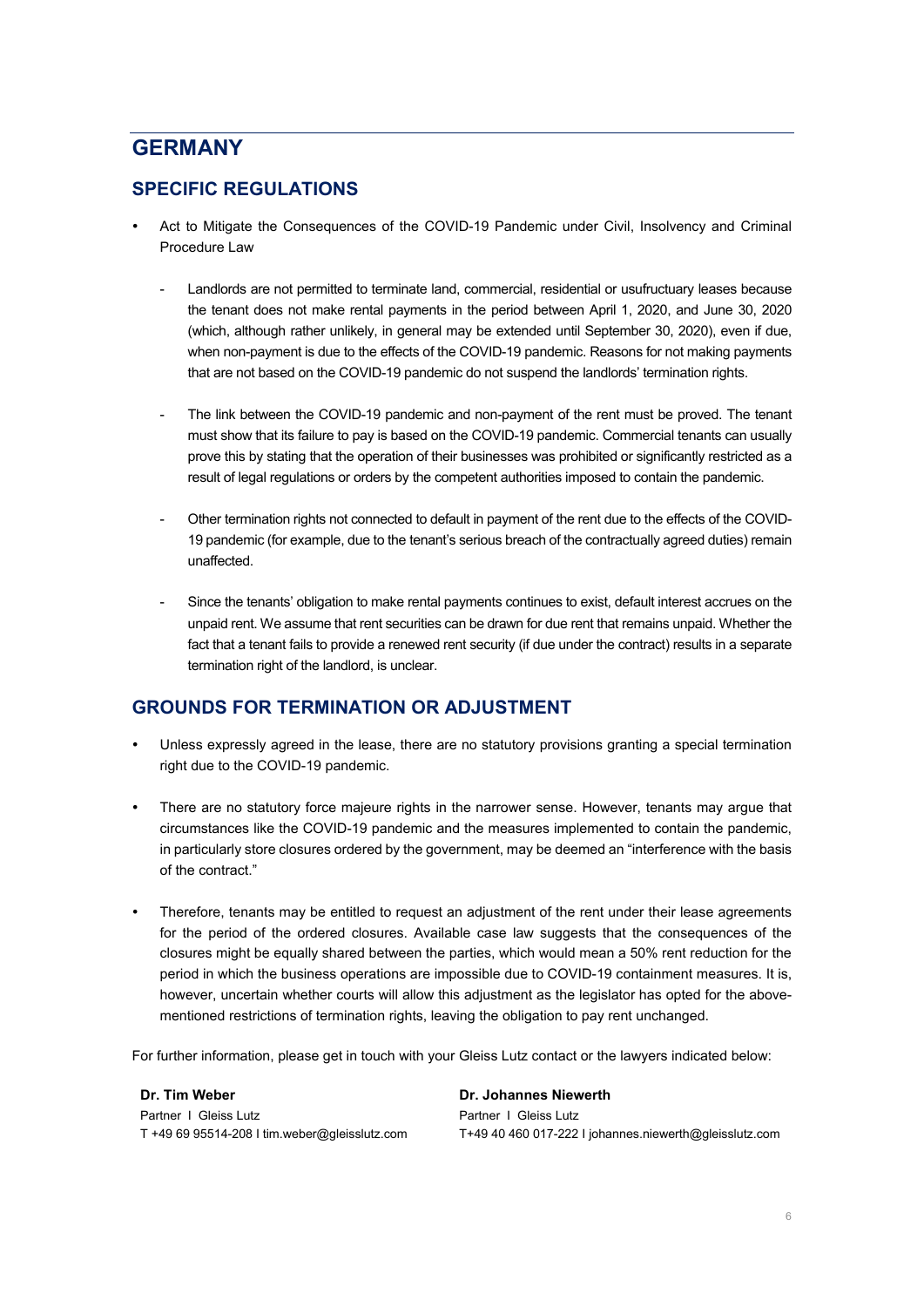## <span id="page-5-0"></span>**GERMANY**

## **SPECIFIC REGULATIONS**

- Act to Mitigate the Consequences of the COVID-19 Pandemic under Civil, Insolvency and Criminal Procedure Law
	- Landlords are not permitted to terminate land, commercial, residential or usufructuary leases because the tenant does not make rental payments in the period between April 1, 2020, and June 30, 2020 (which, although rather unlikely, in general may be extended until September 30, 2020), even if due, when non-payment is due to the effects of the COVID-19 pandemic. Reasons for not making payments that are not based on the COVID-19 pandemic do not suspend the landlords' termination rights.
	- The link between the COVID-19 pandemic and non-payment of the rent must be proved. The tenant must show that its failure to pay is based on the COVID-19 pandemic. Commercial tenants can usually prove this by stating that the operation of their businesses was prohibited or significantly restricted as a result of legal regulations or orders by the competent authorities imposed to contain the pandemic.
	- Other termination rights not connected to default in payment of the rent due to the effects of the COVID-19 pandemic (for example, due to the tenant's serious breach of the contractually agreed duties) remain unaffected.
	- Since the tenants' obligation to make rental payments continues to exist, default interest accrues on the unpaid rent. We assume that rent securities can be drawn for due rent that remains unpaid. Whether the fact that a tenant fails to provide a renewed rent security (if due under the contract) results in a separate termination right of the landlord, is unclear.

### **GROUNDS FOR TERMINATION OR ADJUSTMENT**

- Unless expressly agreed in the lease, there are no statutory provisions granting a special termination right due to the COVID-19 pandemic.
- There are no statutory force majeure rights in the narrower sense. However, tenants may argue that circumstances like the COVID-19 pandemic and the measures implemented to contain the pandemic, in particularly store closures ordered by the government, may be deemed an "interference with the basis of the contract."
- Therefore, tenants may be entitled to request an adjustment of the rent under their lease agreements for the period of the ordered closures. Available case law suggests that the consequences of the closures might be equally shared between the parties, which would mean a 50% rent reduction for the period in which the business operations are impossible due to COVID-19 containment measures. It is, however, uncertain whether courts will allow this adjustment as the legislator has opted for the abovementioned restrictions of termination rights, leaving the obligation to pay rent unchanged.

For further information, please get in touch with your Gleiss Lutz contact or the lawyers indicated below:

**Dr. Tim Weber** Partner I Gleiss Lutz T +49 69 95514-208 I tim.weber@gleisslutz.com **Dr. Johannes Niewerth**  Partner I Gleiss Lutz T+49 40 460 017-222 I johannes.niewerth@gleisslutz.com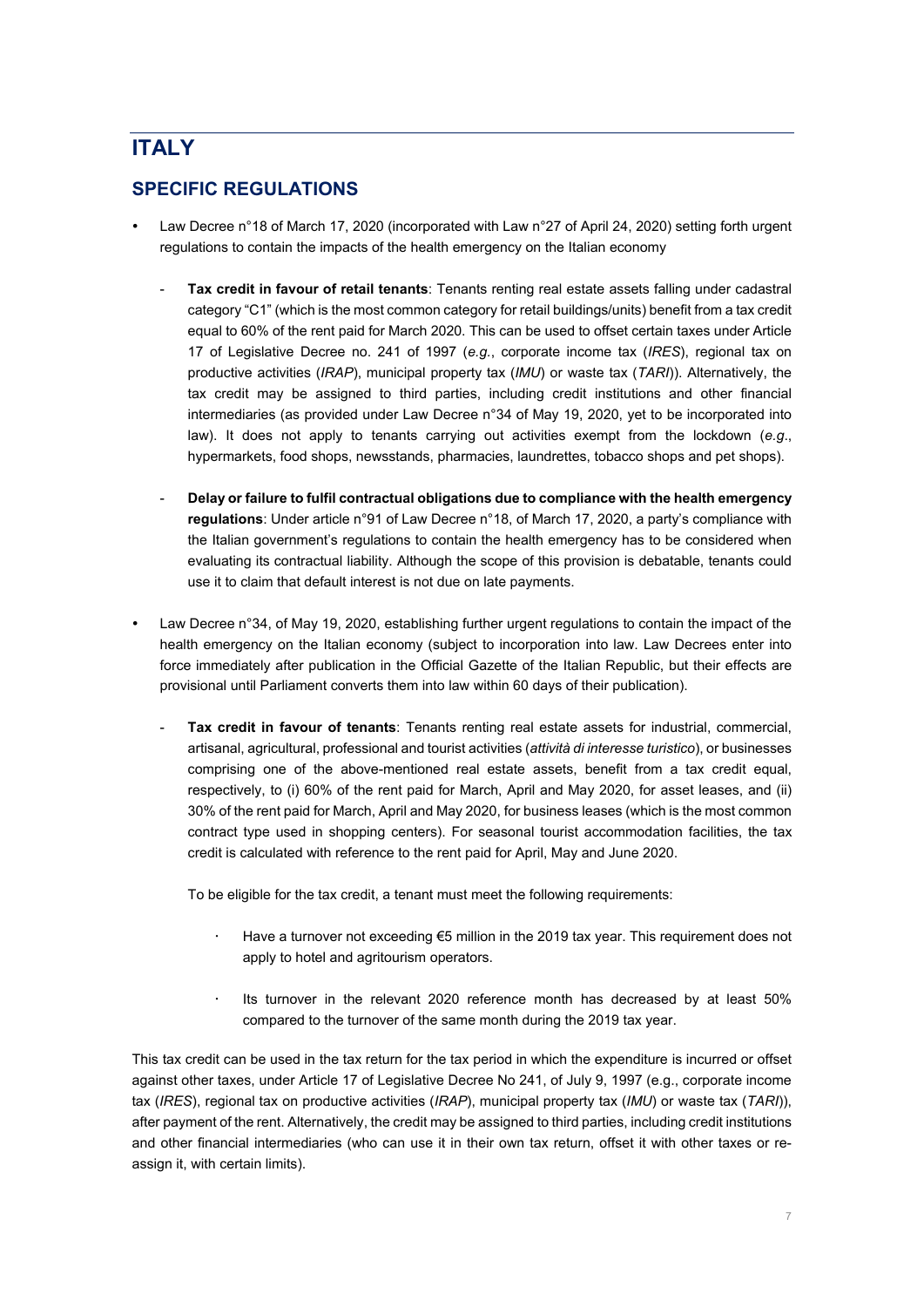# <span id="page-6-0"></span>**ITALY**

## **SPECIFIC REGULATIONS**

- Law Decree n°18 of March 17, 2020 (incorporated with Law n°27 of April 24, 2020) setting forth urgent regulations to contain the impacts of the health emergency on the Italian economy
	- Tax credit in favour of retail tenants: Tenants renting real estate assets falling under cadastral category "C1" (which is the most common category for retail buildings/units) benefit from a tax credit equal to 60% of the rent paid for March 2020. This can be used to offset certain taxes under Article 17 of Legislative Decree no. 241 of 1997 (*e.g.*, corporate income tax (*IRES*), regional tax on productive activities (*IRAP*), municipal property tax (*IMU*) or waste tax (*TARI*)). Alternatively, the tax credit may be assigned to third parties, including credit institutions and other financial intermediaries (as provided under Law Decree n°34 of May 19, 2020, yet to be incorporated into law). It does not apply to tenants carrying out activities exempt from the lockdown (*e.g*., hypermarkets, food shops, newsstands, pharmacies, laundrettes, tobacco shops and pet shops).
	- **Delay or failure to fulfil contractual obligations due to compliance with the health emergency regulations**: Under article n°91 of Law Decree n°18, of March 17, 2020, a party's compliance with the Italian government's regulations to contain the health emergency has to be considered when evaluating its contractual liability. Although the scope of this provision is debatable, tenants could use it to claim that default interest is not due on late payments.
- Law Decree n°34, of May 19, 2020, establishing further urgent regulations to contain the impact of the health emergency on the Italian economy (subject to incorporation into law. Law Decrees enter into force immediately after publication in the Official Gazette of the Italian Republic, but their effects are provisional until Parliament converts them into law within 60 days of their publication).
	- Tax credit in favour of tenants: Tenants renting real estate assets for industrial, commercial, artisanal, agricultural, professional and tourist activities (*attività di interesse turistico*), or businesses comprising one of the above-mentioned real estate assets, benefit from a tax credit equal, respectively, to (i) 60% of the rent paid for March, April and May 2020, for asset leases, and (ii) 30% of the rent paid for March, April and May 2020, for business leases (which is the most common contract type used in shopping centers). For seasonal tourist accommodation facilities, the tax credit is calculated with reference to the rent paid for April, May and June 2020.

To be eligible for the tax credit, a tenant must meet the following requirements:

- Have a turnover not exceeding €5 million in the 2019 tax year. This requirement does not apply to hotel and agritourism operators.
- Its turnover in the relevant 2020 reference month has decreased by at least 50% compared to the turnover of the same month during the 2019 tax year.

This tax credit can be used in the tax return for the tax period in which the expenditure is incurred or offset against other taxes, under Article 17 of Legislative Decree No 241, of July 9, 1997 (e.g., corporate income tax (*IRES*), regional tax on productive activities (*IRAP*), municipal property tax (*IMU*) or waste tax (*TARI*)), after payment of the rent. Alternatively, the credit may be assigned to third parties, including credit institutions and other financial intermediaries (who can use it in their own tax return, offset it with other taxes or reassign it, with certain limits).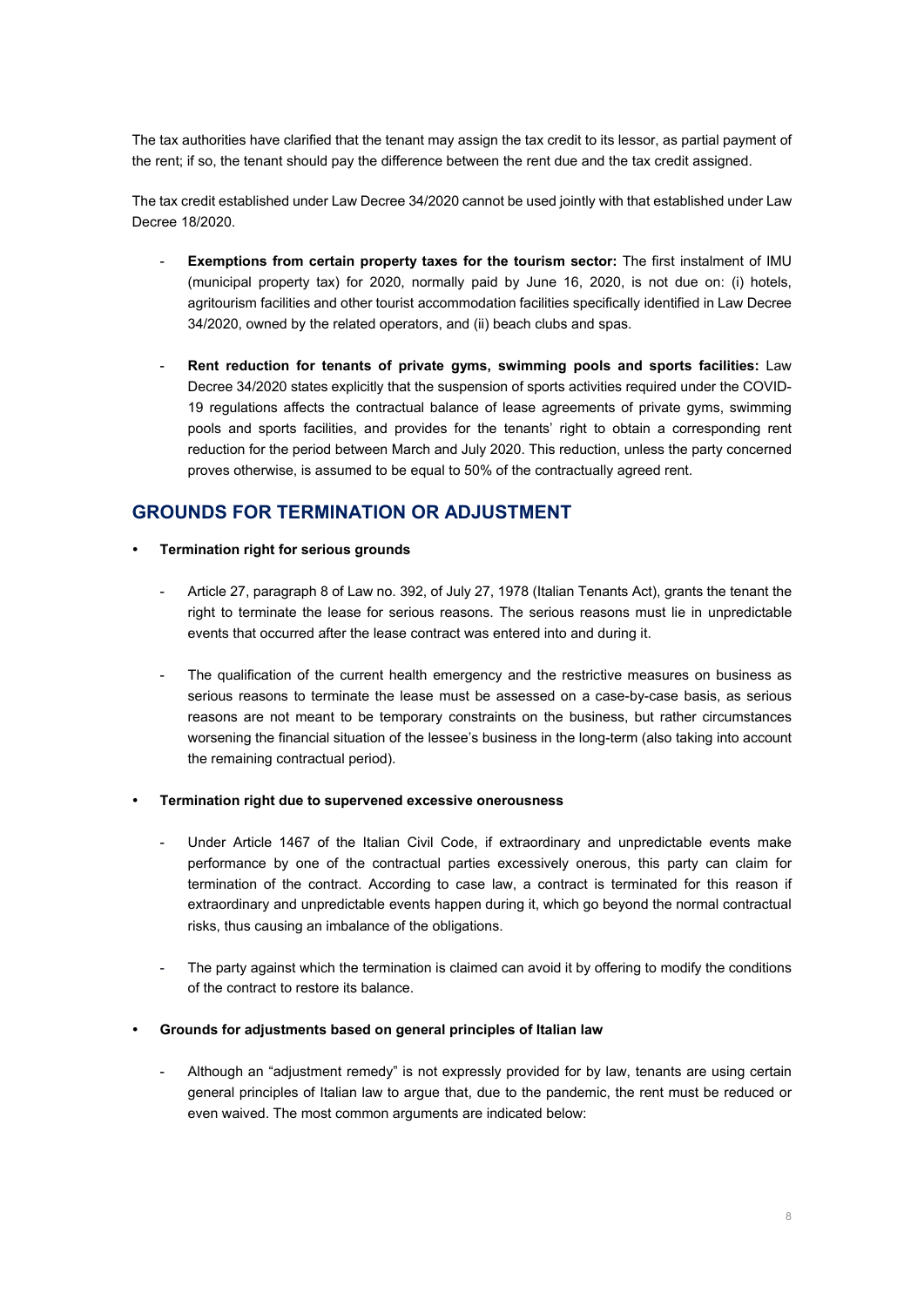The tax authorities have clarified that the tenant may assign the tax credit to its lessor, as partial payment of the rent; if so, the tenant should pay the difference between the rent due and the tax credit assigned.

The tax credit established under Law Decree 34/2020 cannot be used jointly with that established under Law Decree 18/2020.

- **Exemptions from certain property taxes for the tourism sector:** The first instalment of IMU (municipal property tax) for 2020, normally paid by June 16, 2020, is not due on: (i) hotels, agritourism facilities and other tourist accommodation facilities specifically identified in Law Decree 34/2020, owned by the related operators, and (ii) beach clubs and spas.
- **Rent reduction for tenants of private gyms, swimming pools and sports facilities:** Law Decree 34/2020 states explicitly that the suspension of sports activities required under the COVID-19 regulations affects the contractual balance of lease agreements of private gyms, swimming pools and sports facilities, and provides for the tenants' right to obtain a corresponding rent reduction for the period between March and July 2020. This reduction, unless the party concerned proves otherwise, is assumed to be equal to 50% of the contractually agreed rent.

### **GROUNDS FOR TERMINATION OR ADJUSTMENT**

- **Termination right for serious grounds**
	- Article 27, paragraph 8 of Law no. 392, of July 27, 1978 (Italian Tenants Act), grants the tenant the right to terminate the lease for serious reasons. The serious reasons must lie in unpredictable events that occurred after the lease contract was entered into and during it.
	- The qualification of the current health emergency and the restrictive measures on business as serious reasons to terminate the lease must be assessed on a case-by-case basis, as serious reasons are not meant to be temporary constraints on the business, but rather circumstances worsening the financial situation of the lessee's business in the long-term (also taking into account the remaining contractual period).

#### **Termination right due to supervened excessive onerousness**

- Under Article 1467 of the Italian Civil Code, if extraordinary and unpredictable events make performance by one of the contractual parties excessively onerous, this party can claim for termination of the contract. According to case law, a contract is terminated for this reason if extraordinary and unpredictable events happen during it, which go beyond the normal contractual risks, thus causing an imbalance of the obligations.
- The party against which the termination is claimed can avoid it by offering to modify the conditions of the contract to restore its balance.

#### **Grounds for adjustments based on general principles of Italian law**

Although an "adjustment remedy" is not expressly provided for by law, tenants are using certain general principles of Italian law to argue that, due to the pandemic, the rent must be reduced or even waived. The most common arguments are indicated below: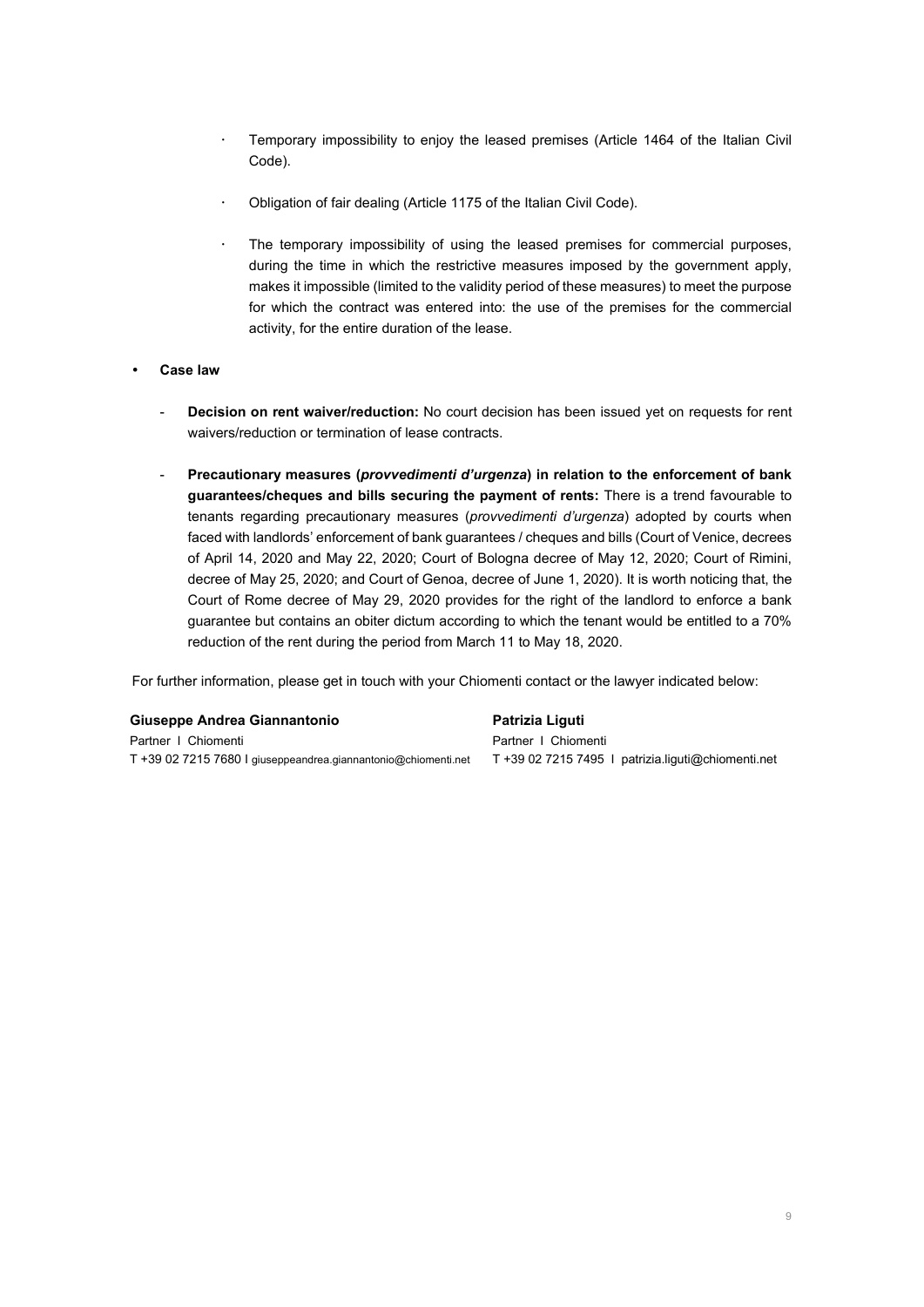- Temporary impossibility to enjoy the leased premises (Article 1464 of the Italian Civil Code).
- Obligation of fair dealing (Article 1175 of the Italian Civil Code).
- The temporary impossibility of using the leased premises for commercial purposes, during the time in which the restrictive measures imposed by the government apply, makes it impossible (limited to the validity period of these measures) to meet the purpose for which the contract was entered into: the use of the premises for the commercial activity, for the entire duration of the lease.
- **Case law** 
	- **Decision on rent waiver/reduction:** No court decision has been issued yet on requests for rent waivers/reduction or termination of lease contracts.
	- **Precautionary measures (***provvedimenti d'urgenza***) in relation to the enforcement of bank guarantees/cheques and bills securing the payment of rents:** There is a trend favourable to tenants regarding precautionary measures (*provvedimenti d'urgenza*) adopted by courts when faced with landlords' enforcement of bank guarantees / cheques and bills (Court of Venice, decrees of April 14, 2020 and May 22, 2020; Court of Bologna decree of May 12, 2020; Court of Rimini, decree of May 25, 2020; and Court of Genoa, decree of June 1, 2020). It is worth noticing that, the Court of Rome decree of May 29, 2020 provides for the right of the landlord to enforce a bank guarantee but contains an obiter dictum according to which the tenant would be entitled to a 70% reduction of the rent during the period from March 11 to May 18, 2020.

For further information, please get in touch with your Chiomenti contact or the lawyer indicated below:

#### **Giuseppe Andrea Giannantonio**

Partner I Chiomenti T +39 02 7215 7680 I giuseppeandrea.giannantonio@chiomenti.net

**Patrizia Liguti** Partner I Chiomenti T +39 02 7215 7495 I patrizia.liguti@chiomenti.net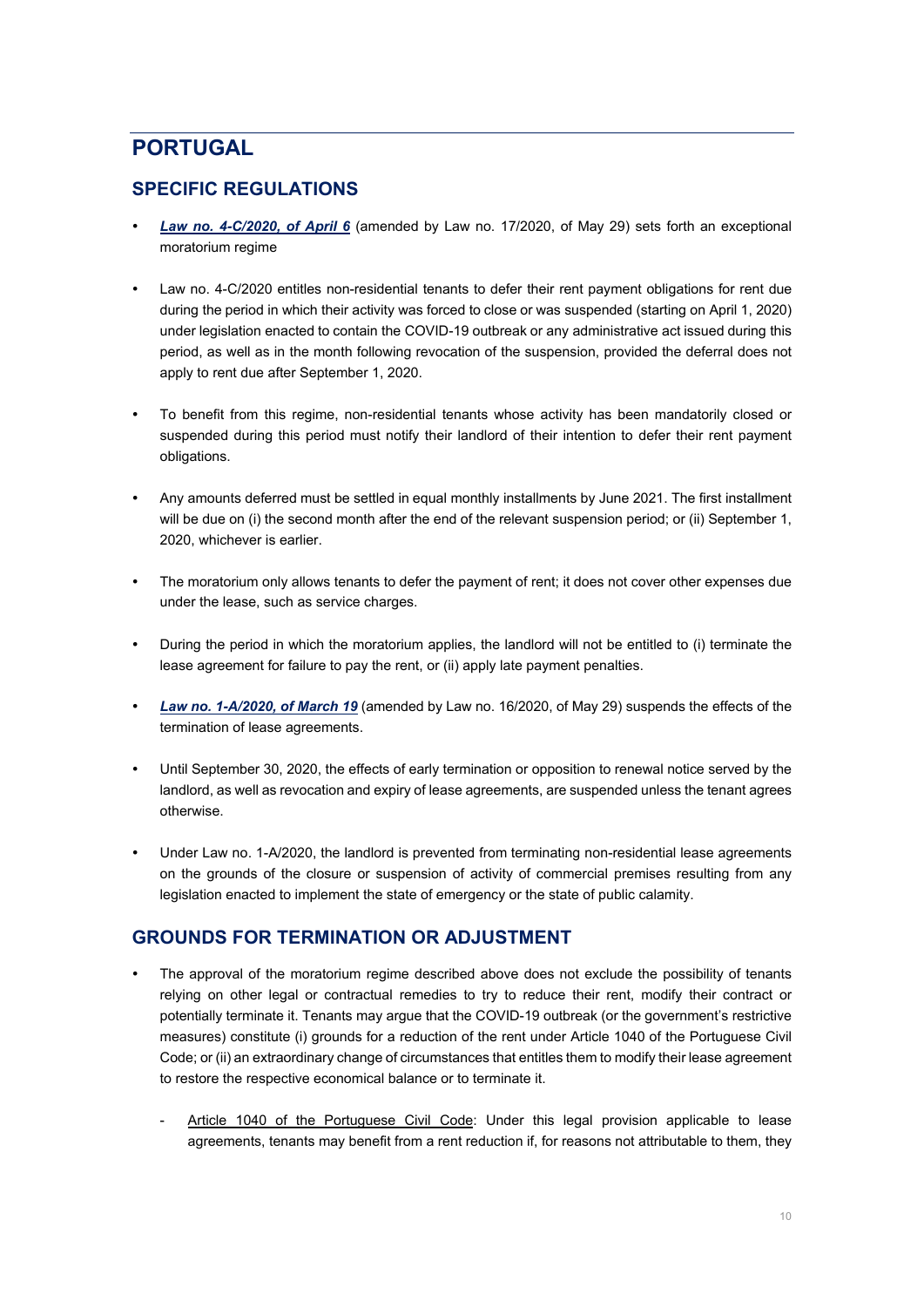## <span id="page-9-0"></span>**PORTUGAL**

## **SPECIFIC REGULATIONS**

- *[Law no. 4-C/2020, of April 6](https://dre.pt/application/file/a/131193534)* (amended by Law no. 17/2020, of May 29) sets forth an exceptional moratorium regime
- Law no. 4-C/2020 entitles non-residential tenants to defer their rent payment obligations for rent due during the period in which their activity was forced to close or was suspended (starting on April 1, 2020) under legislation enacted to contain the COVID-19 outbreak or any administrative act issued during this period, as well as in the month following revocation of the suspension, provided the deferral does not apply to rent due after September 1, 2020.
- To benefit from this regime, non-residential tenants whose activity has been mandatorily closed or suspended during this period must notify their landlord of their intention to defer their rent payment obligations.
- Any amounts deferred must be settled in equal monthly installments by June 2021. The first installment will be due on (i) the second month after the end of the relevant suspension period; or (ii) September 1, 2020, whichever is earlier.
- The moratorium only allows tenants to defer the payment of rent; it does not cover other expenses due under the lease, such as service charges.
- During the period in which the moratorium applies, the landlord will not be entitled to (i) terminate the lease agreement for failure to pay the rent, or (ii) apply late payment penalties.
- *[Law no. 1-A/2020, of March 19](https://dre.pt/web/guest/legislacao-consolidada/-/lc/134309084/202006092103/exportPdf/maximized/1/cacheLevelPage?rp=diplomasModificantes)* (amended by Law no. 16/2020, of May 29) suspends the effects of the termination of lease agreements.
- Until September 30, 2020, the effects of early termination or opposition to renewal notice served by the landlord, as well as revocation and expiry of lease agreements, are suspended unless the tenant agrees otherwise.
- Under Law no. 1-A/2020, the landlord is prevented from terminating non-residential lease agreements on the grounds of the closure or suspension of activity of commercial premises resulting from any legislation enacted to implement the state of emergency or the state of public calamity.

### **GROUNDS FOR TERMINATION OR ADJUSTMENT**

- The approval of the moratorium regime described above does not exclude the possibility of tenants relying on other legal or contractual remedies to try to reduce their rent, modify their contract or potentially terminate it. Tenants may argue that the COVID-19 outbreak (or the government's restrictive measures) constitute (i) grounds for a reduction of the rent under Article 1040 of the Portuguese Civil Code; or (ii) an extraordinary change of circumstances that entitles them to modify their lease agreement to restore the respective economical balance or to terminate it.
	- Article 1040 of the Portuguese Civil Code: Under this legal provision applicable to lease agreements, tenants may benefit from a rent reduction if, for reasons not attributable to them, they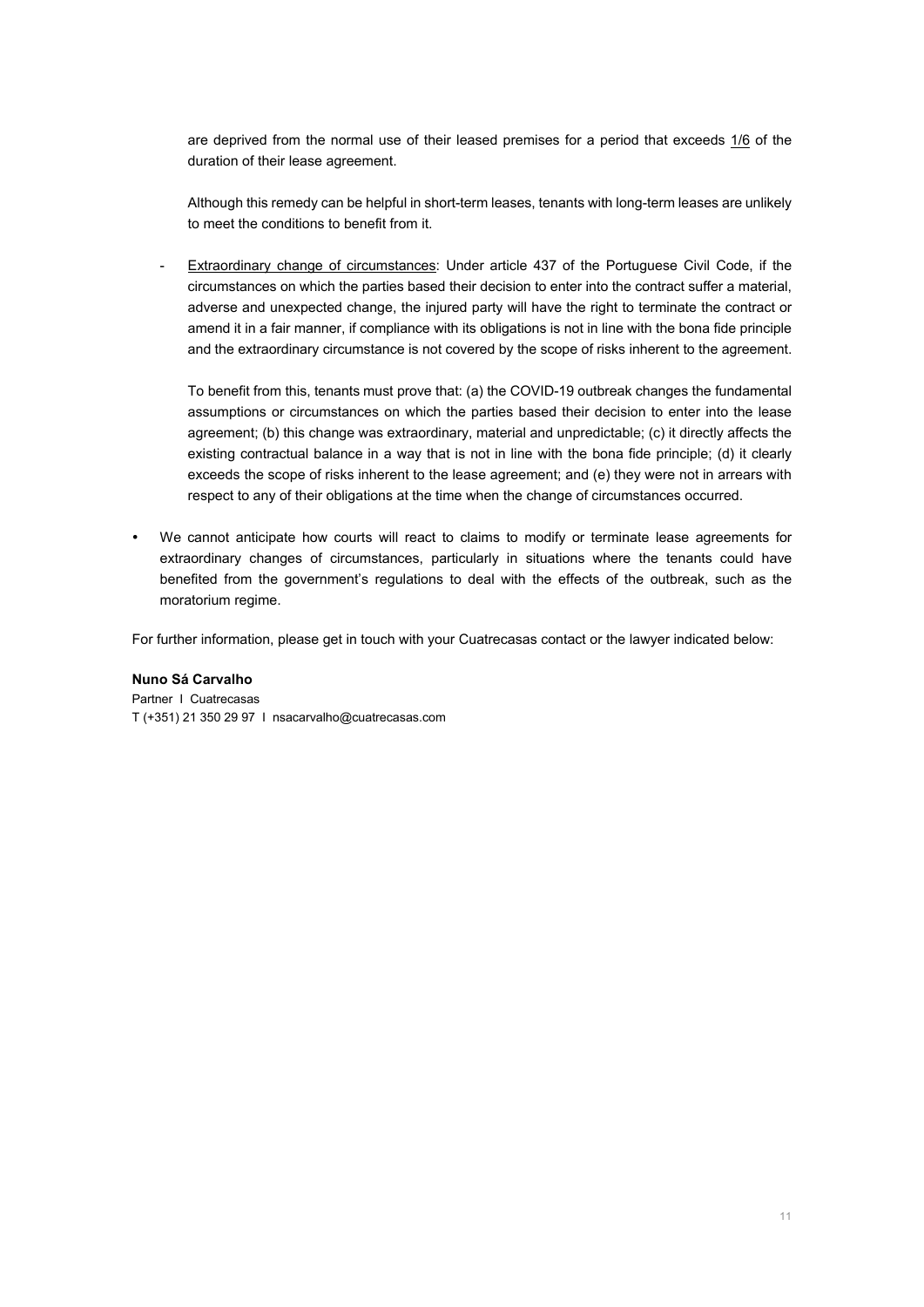are deprived from the normal use of their leased premises for a period that exceeds 1/6 of the duration of their lease agreement.

Although this remedy can be helpful in short-term leases, tenants with long-term leases are unlikely to meet the conditions to benefit from it.

Extraordinary change of circumstances: Under article 437 of the Portuguese Civil Code, if the circumstances on which the parties based their decision to enter into the contract suffer a material, adverse and unexpected change, the injured party will have the right to terminate the contract or amend it in a fair manner, if compliance with its obligations is not in line with the bona fide principle and the extraordinary circumstance is not covered by the scope of risks inherent to the agreement.

To benefit from this, tenants must prove that: (a) the COVID-19 outbreak changes the fundamental assumptions or circumstances on which the parties based their decision to enter into the lease agreement; (b) this change was extraordinary, material and unpredictable; (c) it directly affects the existing contractual balance in a way that is not in line with the bona fide principle; (d) it clearly exceeds the scope of risks inherent to the lease agreement; and (e) they were not in arrears with respect to any of their obligations at the time when the change of circumstances occurred.

 We cannot anticipate how courts will react to claims to modify or terminate lease agreements for extraordinary changes of circumstances, particularly in situations where the tenants could have benefited from the government's regulations to deal with the effects of the outbreak, such as the moratorium regime.

For further information, please get in touch with your Cuatrecasas contact or the lawyer indicated below:

#### **Nuno Sá Carvalho**

Partner I Cuatrecasas T (+351) 21 350 29 97 I nsacarvalho@cuatrecasas.com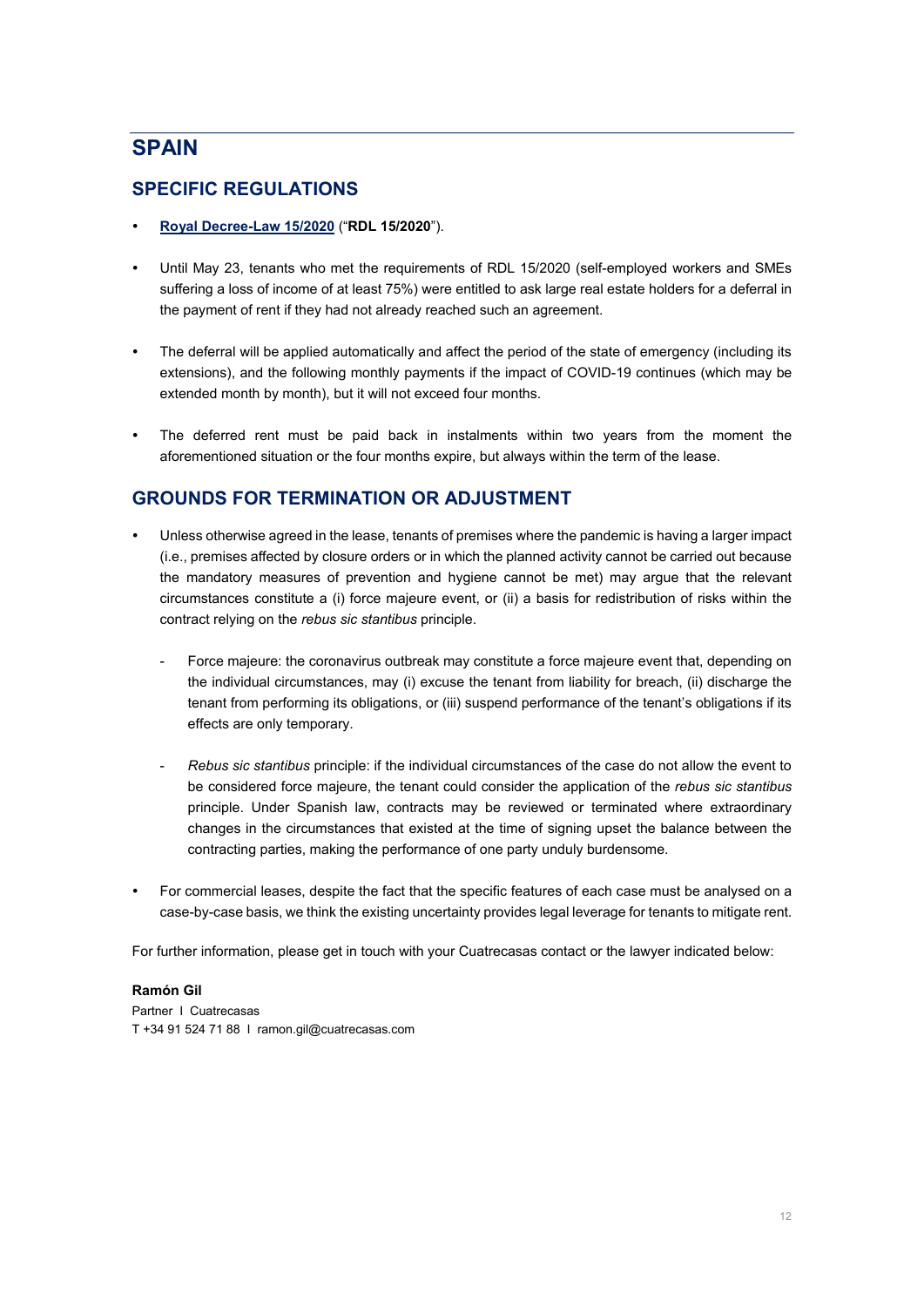## <span id="page-11-0"></span>**SPAIN**

### **SPECIFIC REGULATIONS**

- **[Royal Decree-Law 15/2020](https://www.cuatrecasas.com/publications/spain_royal_decreelaw_152020_main_legal_consequences_for_businesses.html)** ("**RDL 15/2020**").
- Until May 23, tenants who met the requirements of RDL 15/2020 (self-employed workers and SMEs suffering a loss of income of at least 75%) were entitled to ask large real estate holders for a deferral in the payment of rent if they had not already reached such an agreement.
- The deferral will be applied automatically and affect the period of the state of emergency (including its extensions), and the following monthly payments if the impact of COVID-19 continues (which may be extended month by month), but it will not exceed four months.
- The deferred rent must be paid back in instalments within two years from the moment the aforementioned situation or the four months expire, but always within the term of the lease.

### **GROUNDS FOR TERMINATION OR ADJUSTMENT**

- Unless otherwise agreed in the lease, tenants of premises where the pandemic is having a larger impact (i.e., premises affected by closure orders or in which the planned activity cannot be carried out because the mandatory measures of prevention and hygiene cannot be met) may argue that the relevant circumstances constitute a (i) force majeure event, or (ii) a basis for redistribution of risks within the contract relying on the *rebus sic stantibus* principle.
	- Force majeure: the coronavirus outbreak may constitute a force majeure event that, depending on the individual circumstances, may (i) excuse the tenant from liability for breach, (ii) discharge the tenant from performing its obligations, or (iii) suspend performance of the tenant's obligations if its effects are only temporary.
	- *Rebus sic stantibus* principle: if the individual circumstances of the case do not allow the event to be considered force majeure, the tenant could consider the application of the *rebus sic stantibus* principle. Under Spanish law, contracts may be reviewed or terminated where extraordinary changes in the circumstances that existed at the time of signing upset the balance between the contracting parties, making the performance of one party unduly burdensome.
- For commercial leases, despite the fact that the specific features of each case must be analysed on a case-by-case basis, we think the existing uncertainty provides legal leverage for tenants to mitigate rent.

For further information, please get in touch with your Cuatrecasas contact or the lawyer indicated below:

#### **Ramón Gil**

Partner I Cuatrecasas T +34 91 524 71 88 I ramon.gil@cuatrecasas.com